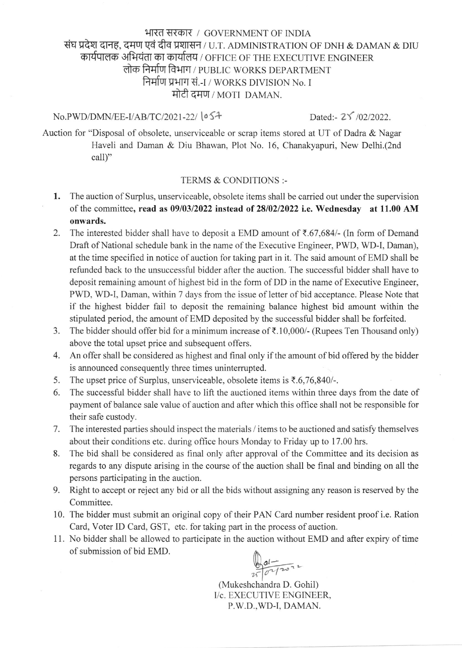# भारत सरकार / GOVERNMENT OF INDIA संघ प्रदेश दानह, दमण एवं दीव प्रशासन / U.T. ADMINISTRATION OF DNH & DAMAN & DIU कार्यपालक अभियंता का कार्यालय / OFFICE OF THE EXECUTIVE ENGINEER लोक निर्माण विभाग / PUBLIC WORKS DEPARTMENT निर्माण प्रभाग सं.-I / WORKS DIVISION No. I मोटी दमण / MOTI DAMAN.

### No.PWD/DMN/EE-I/AB/TC/2021-22/  $\circ$ 54 Dated:- 25 /02/2022.

Auction for "Disposal of obsolete, unserviceable or scrap items stored at UT of Dadra & Nagar Haveli and Daman & Diu Bhawan, Plot No. 16, Chanakyapuri, New Delhi.(2nd call)"

### TERMS & CONDITIONS :-

- 1. The auction of Surplus, unserviceable, obsolete items shall be carried out under the supervision of the committee, read as  $09/03/2022$  instead of 28/02/2022 i.e. Wednesday at 11.00 AM onwards.
- 2. The interested bidder shall have to deposit a EMD amount of  $\bar{\tau}$ .67,684/- (In form of Demand Draft of National schedule bank in the name of the Executive Engineer, PWD, WD-I, Daman), at the time specified in notice of auction for taking part in it. The said amount of EMD shall be refunded back to the unsuccessful bidder after the auction. The successful bidder shall have to deposit remaining amount of highest bid in the form of DD in the name of Executive Engineer, PWD, WD-I, Daman, within 7 days from the issue of letter of bid acceptance. Please Note that if the highest bidder fail to deposit the remaining balance highest bid amount within the stipulated period, the amount of EMD deposited by the successful bidder shall be forfeited.
- 3. The bidder should offer bid for a minimum increase of  $\bar{\tau}$ .10,000/- (Rupees Ten Thousand only) above the total upset price and subsequent offers.
- 4. An offer shall be considered as highest and final only if the amount of bid offered by the bidder is announced consequently three times uninterrupted.
- 5. The upset price of Surplus, unserviceable, obsolete items is  $\overline{5.6,76,840/-}$ .
- 6. The successful bidder shall have to lift the auctioned items within three days from the date of payment of balance sale value of auction and after which this office shall not be responsible for their safe custody.
- 7. The interested parties should inspect the materials / items to be auctioned and satisfy themselves about their conditions etc. during office hours Monday to Friday up to 17.00 hrs.
- 8. The bid shall be considered as final only after approval of the Committee and its decision as regards to any dispute arising in the course of the auction shall be final and binding on all the persons participating in the auction.
- 9. Right to accept or reject any bid or all the bids without assigning any reason is reserved by the Committee.
- 10. The bidder must submit an original copy of their PAN Card number resident proof i.e. Ration Card, Voter ID Card, GST, etc. for taking part in the process of auction.
- 11. No bidder shall be allowed to participate in the auction without EMD and after expiry of time of submission of bid EMD.

ol  $250$ 

(Mukeshchandra D. Gohil) I/c. EXECUTIVE ENGINEER, P.W.D.,WD.I. DAMAN.